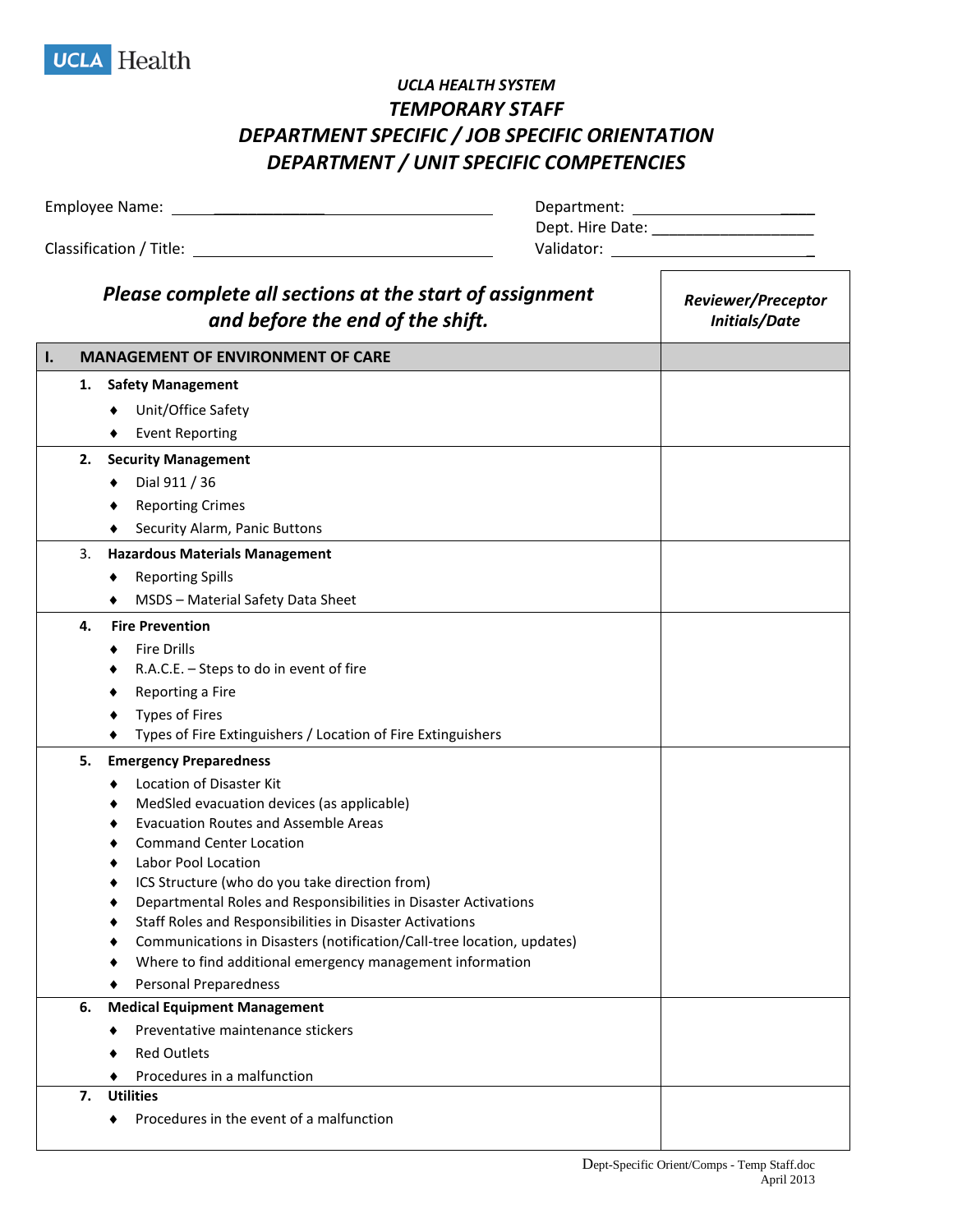

## *UCLA HEALTH SYSTEM TEMPORARY STAFF DEPARTMENT SPECIFIC / JOB SPECIFIC ORIENTATION DEPARTMENT / UNIT SPECIFIC COMPETENCIES*

| Department:      |
|------------------|
| Dept. Hire Date: |
| Validator:       |
|                  |
|                  |

|    |    | Please complete all sections at the start of assignment<br>and before the end of the shift. | <b>Reviewer/Preceptor</b><br><b>Initials/Date</b> |
|----|----|---------------------------------------------------------------------------------------------|---------------------------------------------------|
| Ι. |    | <b>MANAGEMENT OF ENVIRONMENT OF CARE</b>                                                    |                                                   |
|    | 1. | <b>Safety Management</b><br>Unit/Office Safety                                              |                                                   |
|    |    | <b>Event Reporting</b>                                                                      |                                                   |
|    | 2. | <b>Security Management</b>                                                                  |                                                   |
|    |    | Dial 911 / 36                                                                               |                                                   |
|    |    | <b>Reporting Crimes</b>                                                                     |                                                   |
|    |    | Security Alarm, Panic Buttons                                                               |                                                   |
|    | 3. | <b>Hazardous Materials Management</b>                                                       |                                                   |
|    |    | <b>Reporting Spills</b>                                                                     |                                                   |
|    |    | MSDS - Material Safety Data Sheet                                                           |                                                   |
|    | 4. | <b>Fire Prevention</b>                                                                      |                                                   |
|    |    | <b>Fire Drills</b>                                                                          |                                                   |
|    |    | R.A.C.E. - Steps to do in event of fire                                                     |                                                   |
|    |    | Reporting a Fire                                                                            |                                                   |
|    |    | <b>Types of Fires</b>                                                                       |                                                   |
|    |    | Types of Fire Extinguishers / Location of Fire Extinguishers                                |                                                   |
|    | 5. | <b>Emergency Preparedness</b>                                                               |                                                   |
|    |    | Location of Disaster Kit                                                                    |                                                   |
|    |    | MedSled evacuation devices (as applicable)<br><b>Evacuation Routes and Assemble Areas</b>   |                                                   |
|    |    | <b>Command Center Location</b>                                                              |                                                   |
|    |    | Labor Pool Location                                                                         |                                                   |
|    |    | ICS Structure (who do you take direction from)                                              |                                                   |
|    |    | Departmental Roles and Responsibilities in Disaster Activations                             |                                                   |
|    |    | Staff Roles and Responsibilities in Disaster Activations                                    |                                                   |
|    |    | Communications in Disasters (notification/Call-tree location, updates)                      |                                                   |
|    |    | Where to find additional emergency management information                                   |                                                   |
|    |    | Personal Preparedness                                                                       |                                                   |
|    | 6. | <b>Medical Equipment Management</b><br>Preventative maintenance stickers                    |                                                   |
|    |    |                                                                                             |                                                   |
|    |    | <b>Red Outlets</b>                                                                          |                                                   |
|    | 7. | Procedures in a malfunction<br><b>Utilities</b>                                             |                                                   |
|    |    | Procedures in the event of a malfunction                                                    |                                                   |

┓